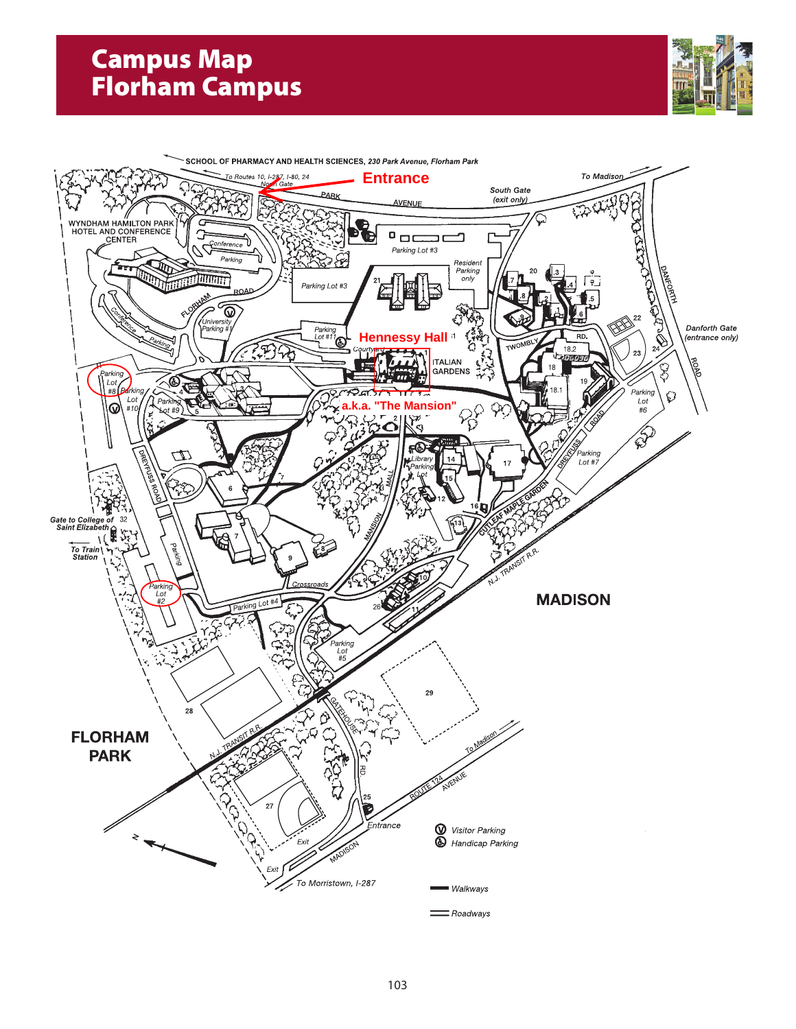# **Campus Map Florham Campus**